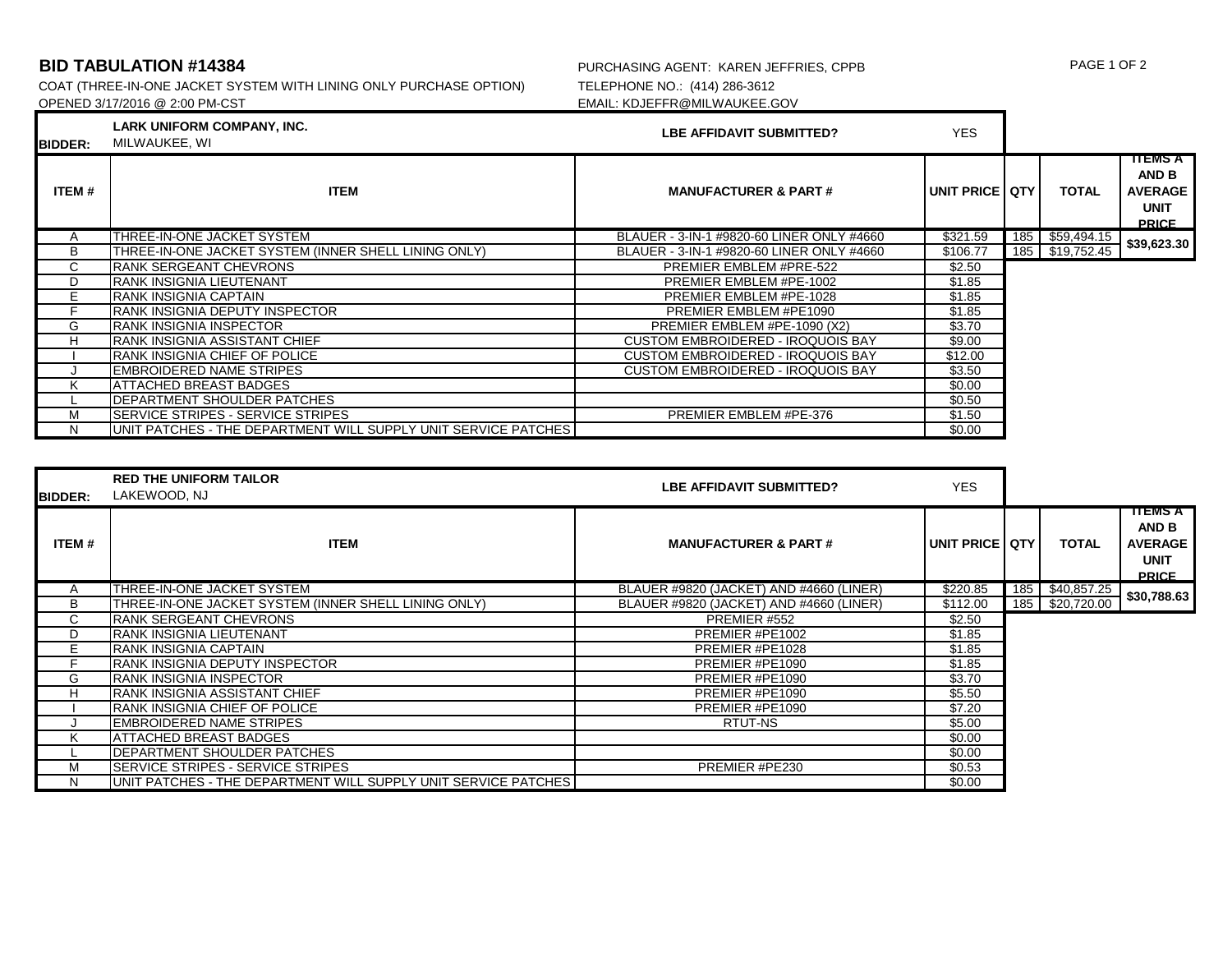COAT (THREE-IN-ONE JACKET SYSTEM WITH LINING ONLY PURCHASE OPTION)<br>OPENED 3/17/2016 @ 2:00 PM-CST

## **BID TABULATION #14384** PURCHASING AGENT: KAREN JEFFRIES, CPPB PAGE 1 OF 2<br>COAT (THREE-IN-ONE JACKET SYSTEM WITH LINING ONLY PURCHASE OPTION) TELEPHONE NO.: (414) 286-3612 EMAIL: KDJEFFR@MILWAUKEE.GOV

| <b>BIDDER:</b> | LARK UNIFORM COMPANY, INC.<br>MILWAUKEE, WI                    | LBE AFFIDAVIT SUBMITTED?                  | <b>YES</b>      |                 |                                                                          |
|----------------|----------------------------------------------------------------|-------------------------------------------|-----------------|-----------------|--------------------------------------------------------------------------|
| ITEM#          | <b>ITEM</b>                                                    | <b>MANUFACTURER &amp; PART#</b>           | UNIT PRICE LOTY | <b>TOTAL</b>    | TTEMS A<br><b>AND B</b><br><b>AVERAGE</b><br><b>UNIT</b><br><b>PRICE</b> |
| A              | THREE-IN-ONE JACKET SYSTEM                                     | BLAUER - 3-IN-1 #9820-60 LINER ONLY #4660 | \$321.59        | 185 \$59,494.15 | \$39,623.30                                                              |
| В              | THREE-IN-ONE JACKET SYSTEM (INNER SHELL LINING ONLY)           | BLAUER - 3-IN-1 #9820-60 LINER ONLY #4660 | \$106.77        | 185 \$19,752.45 |                                                                          |
| C              | <b>IRANK SERGEANT CHEVRONS</b>                                 | PREMIER EMBLEM #PRE-522                   | \$2.50          |                 |                                                                          |
| D              | IRANK INSIGNIA LIEUTENANT                                      | PREMIER EMBLEM #PE-1002                   | \$1.85          |                 |                                                                          |
| Е              | IRANK INSIGNIA CAPTAIN                                         | PREMIER EMBLEM #PE-1028                   | \$1.85          |                 |                                                                          |
|                | IRANK INSIGNIA DEPUTY INSPECTOR                                | PREMIER EMBLEM #PE1090                    | \$1.85          |                 |                                                                          |
| G              | <b>IRANK INSIGNIA INSPECTOR</b>                                | PREMIER EMBLEM #PE-1090 (X2)              | \$3.70          |                 |                                                                          |
| н              | <b>RANK INSIGNIA ASSISTANT CHIEF</b>                           | <b>CUSTOM EMBROIDERED - IROQUOIS BAY</b>  | \$9.00          |                 |                                                                          |
|                | <b>IRANK INSIGNIA CHIEF OF POLICE</b>                          | <b>CUSTOM EMBROIDERED - IROQUOIS BAY</b>  | \$12.00         |                 |                                                                          |
|                | IEMBROIDERED NAME STRIPES                                      | <b>CUSTOM EMBROIDERED - IROQUOIS BAY</b>  | \$3.50          |                 |                                                                          |
| κ              | ATTACHED BREAST BADGES                                         |                                           | \$0.00          |                 |                                                                          |
|                | <b>IDEPARTMENT SHOULDER PATCHES</b>                            |                                           | \$0.50          |                 |                                                                          |
| М              | <b>ISERVICE STRIPES - SERVICE STRIPES</b>                      | PREMIER EMBLEM #PE-376                    | \$1.50          |                 |                                                                          |
|                | UNIT PATCHES - THE DEPARTMENT WILL SUPPLY UNIT SERVICE PATCHES |                                           | \$0.00          |                 |                                                                          |

| <b>BIDDER:</b> | <b>RED THE UNIFORM TAILOR</b><br>LAKEWOOD, NJ                  | LBE AFFIDAVIT SUBMITTED?                | <b>YES</b>       |                 |                                                                          |
|----------------|----------------------------------------------------------------|-----------------------------------------|------------------|-----------------|--------------------------------------------------------------------------|
| ITEM#          | <b>ITEM</b>                                                    | <b>MANUFACTURER &amp; PART#</b>         | UNIT PRICE I QTY | <b>TOTAL</b>    | <b>TTEMS A</b><br>AND B<br><b>AVERAGE</b><br><b>UNIT</b><br><b>PRICE</b> |
| A              | THREE-IN-ONE JACKET SYSTEM                                     | BLAUER #9820 (JACKET) AND #4660 (LINER) | \$220.85         | 185 \$40,857.25 | \$30,788.63                                                              |
| в              | THREE-IN-ONE JACKET SYSTEM (INNER SHELL LINING ONLY)           | BLAUER #9820 (JACKET) AND #4660 (LINER) | \$112.00         | 185 \$20,720.00 |                                                                          |
| С              | <b>IRANK SERGEANT CHEVRONS</b>                                 | PREMIER #552                            | \$2.50           |                 |                                                                          |
| D              | IRANK INSIGNIA LIEUTENANT                                      | PREMIER #PE1002                         | \$1.85           |                 |                                                                          |
|                | <b>RANK INSIGNIA CAPTAIN</b>                                   | PREMIER #PE1028                         | \$1.85           |                 |                                                                          |
|                | <b>IRANK INSIGNIA DEPUTY INSPECTOR</b>                         | PREMIER #PE1090                         | \$1.85           |                 |                                                                          |
| G              | <b>RANK INSIGNIA INSPECTOR</b>                                 | PREMIER #PE1090                         | \$3.70           |                 |                                                                          |
| н              | <b>RANK INSIGNIA ASSISTANT CHIEF</b>                           | PREMIER #PE1090                         | \$5.50           |                 |                                                                          |
|                | <b>RANK INSIGNIA CHIEF OF POLICE</b>                           | PREMIER #PE1090                         | \$7.20           |                 |                                                                          |
|                | <b>EMBROIDERED NAME STRIPES</b>                                | RTUT-NS                                 | \$5.00           |                 |                                                                          |
| κ              | <b>ATTACHED BREAST BADGES</b>                                  |                                         | \$0.00           |                 |                                                                          |
|                | <b>IDEPARTMENT SHOULDER PATCHES</b>                            |                                         | \$0.00           |                 |                                                                          |
| М              | <b>SERVICE STRIPES - SERVICE STRIPES</b>                       | PREMIER #PE230                          | \$0.53           |                 |                                                                          |
|                | UNIT PATCHES - THE DEPARTMENT WILL SUPPLY UNIT SERVICE PATCHES |                                         | \$0.00           |                 |                                                                          |